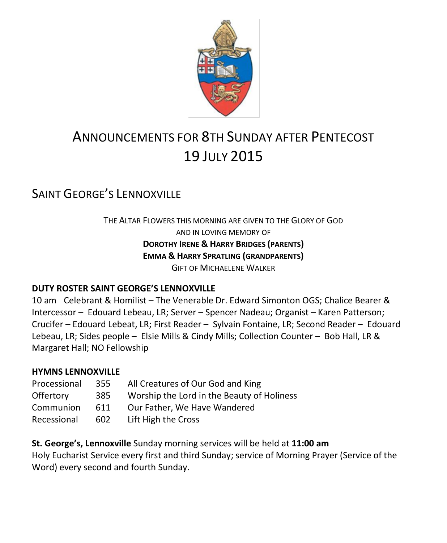

# ANNOUNCEMENTS FOR 8TH SUNDAY AFTER PENTECOST 19 JULY 2015

# SAINT GEORGE'S LENNOXVILLE

THE ALTAR FLOWERS THIS MORNING ARE GIVEN TO THE GLORY OF GOD AND IN LOVING MEMORY OF **DOROTHY IRENE & HARRY BRIDGES (PARENTS) EMMA & HARRY SPRATLING (GRANDPARENTS) GIFT OF MICHAELENE WALKER** 

#### **DUTY ROSTER SAINT GEORGE'S LENNOXVILLE**

10 am Celebrant & Homilist – The Venerable Dr. Edward Simonton OGS; Chalice Bearer & Intercessor – Edouard Lebeau, LR; Server – Spencer Nadeau; Organist – Karen Patterson; Crucifer – Edouard Lebeat, LR; First Reader – Sylvain Fontaine, LR; Second Reader – Edouard Lebeau, LR; Sides people – Elsie Mills & Cindy Mills; Collection Counter – Bob Hall, LR & Margaret Hall; NO Fellowship

#### **HYMNS LENNOXVILLE**

| Processional     | 355 | All Creatures of Our God and King          |  |
|------------------|-----|--------------------------------------------|--|
| <b>Offertory</b> | 385 | Worship the Lord in the Beauty of Holiness |  |
| Communion        | 611 | Our Father, We Have Wandered               |  |
| Recessional      | 602 | Lift High the Cross                        |  |

**St. George's, Lennoxville** Sunday morning services will be held at **11:00 am** Holy Eucharist Service every first and third Sunday; service of Morning Prayer (Service of the Word) every second and fourth Sunday.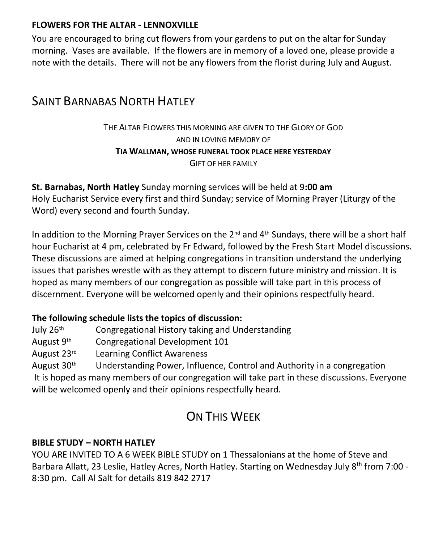#### **FLOWERS FOR THE ALTAR - LENNOXVILLE**

You are encouraged to bring cut flowers from your gardens to put on the altar for Sunday morning. Vases are available. If the flowers are in memory of a loved one, please provide a note with the details. There will not be any flowers from the florist during July and August.

## **SAINT BARNABAS NORTH HATLEY**

#### THE ALTAR FLOWERS THIS MORNING ARE GIVEN TO THE GLORY OF GOD AND IN LOVING MEMORY OF **TIA WALLMAN, WHOSE FUNERAL TOOK PLACE HERE YESTERDAY** GIFT OF HER FAMILY

**St. Barnabas, North Hatley** Sunday morning services will be held at 9**:00 am** Holy Eucharist Service every first and third Sunday; service of Morning Prayer (Liturgy of the Word) every second and fourth Sunday.

In addition to the Morning Prayer Services on the 2<sup>nd</sup> and 4<sup>th</sup> Sundays, there will be a short half hour Eucharist at 4 pm, celebrated by Fr Edward, followed by the Fresh Start Model discussions. These discussions are aimed at helping congregations in transition understand the underlying issues that parishes wrestle with as they attempt to discern future ministry and mission. It is hoped as many members of our congregation as possible will take part in this process of discernment. Everyone will be welcomed openly and their opinions respectfully heard.

#### **The following schedule lists the topics of discussion:**

July 26th Congregational History taking and Understanding August 9th Congregational Development 101 August 23rd Learning Conflict Awareness August  $30<sup>th</sup>$  Understanding Power, Influence, Control and Authority in a congregation

It is hoped as many members of our congregation will take part in these discussions. Everyone will be welcomed openly and their opinions respectfully heard.

# ON THIS WEEK

#### **BIBLE STUDY – NORTH HATLEY**

YOU ARE INVITED TO A 6 WEEK BIBLE STUDY on 1 Thessalonians at the home of Steve and Barbara Allatt, 23 Leslie, Hatley Acres, North Hatley. Starting on Wednesday July 8<sup>th</sup> from 7:00 -8:30 pm. Call Al Salt for details 819 842 2717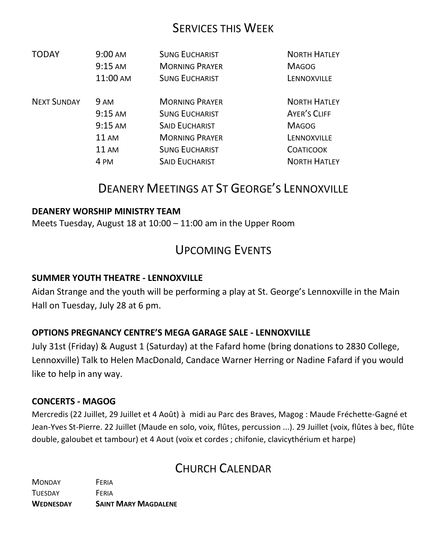### SERVICES THIS WEEK

| <b>TODAY</b>       | $9:00 \text{ AM}$ | <b>SUNG EUCHARIST</b> | <b>NORTH HATLEY</b> |
|--------------------|-------------------|-----------------------|---------------------|
|                    | $9:15 \text{ AM}$ | <b>MORNING PRAYER</b> | <b>MAGOG</b>        |
|                    | 11:00 AM          | <b>SUNG EUCHARIST</b> | LENNOXVILLE         |
| <b>NEXT SUNDAY</b> | <b>9 AM</b>       | <b>MORNING PRAYER</b> | <b>NORTH HATLEY</b> |
|                    | $9:15$ AM         | <b>SUNG EUCHARIST</b> | <b>AYER'S CLIFF</b> |
|                    | $9:15$ AM         | <b>SAID EUCHARIST</b> | <b>MAGOG</b>        |
|                    | 11 AM             | <b>MORNING PRAYER</b> | LENNOXVILLE         |
|                    | $11 \text{ AM}$   | <b>SUNG EUCHARIST</b> | <b>COATICOOK</b>    |
|                    | 4 PM              | <b>SAID EUCHARIST</b> | <b>NORTH HATLEY</b> |

# DEANERY MEETINGS AT ST GEORGE'S LENNOXVILLE

#### **DEANERY WORSHIP MINISTRY TEAM**

Meets Tuesday, August 18 at 10:00 – 11:00 am in the Upper Room

### UPCOMING EVENTS

#### **SUMMER YOUTH THEATRE - LENNOXVILLE**

Aidan Strange and the youth will be performing a play at St. George's Lennoxville in the Main Hall on Tuesday, July 28 at 6 pm.

#### **OPTIONS PREGNANCY CENTRE'S MEGA GARAGE SALE - LENNOXVILLE**

July 31st (Friday) & August 1 (Saturday) at the Fafard home (bring donations to 2830 College, Lennoxville) Talk to Helen MacDonald, Candace Warner Herring or Nadine Fafard if you would like to help in any way.

#### **CONCERTS - MAGOG**

Mercredis (22 Juillet, 29 Juillet et 4 Août) à midi au Parc des Braves, Magog : Maude Fréchette-Gagné et Jean-Yves St-Pierre. 22 Juillet (Maude en solo, voix, flûtes, percussion ...). 29 Juillet (voix, flûtes à bec, flûte double, galoubet et tambour) et 4 Aout (voix et cordes ; chifonie, clavicythérium et harpe)

### CHURCH CALENDAR

MONDAY FERIA TUESDAY FERIA **WEDNESDAY SAINT MARY MAGDALENE**